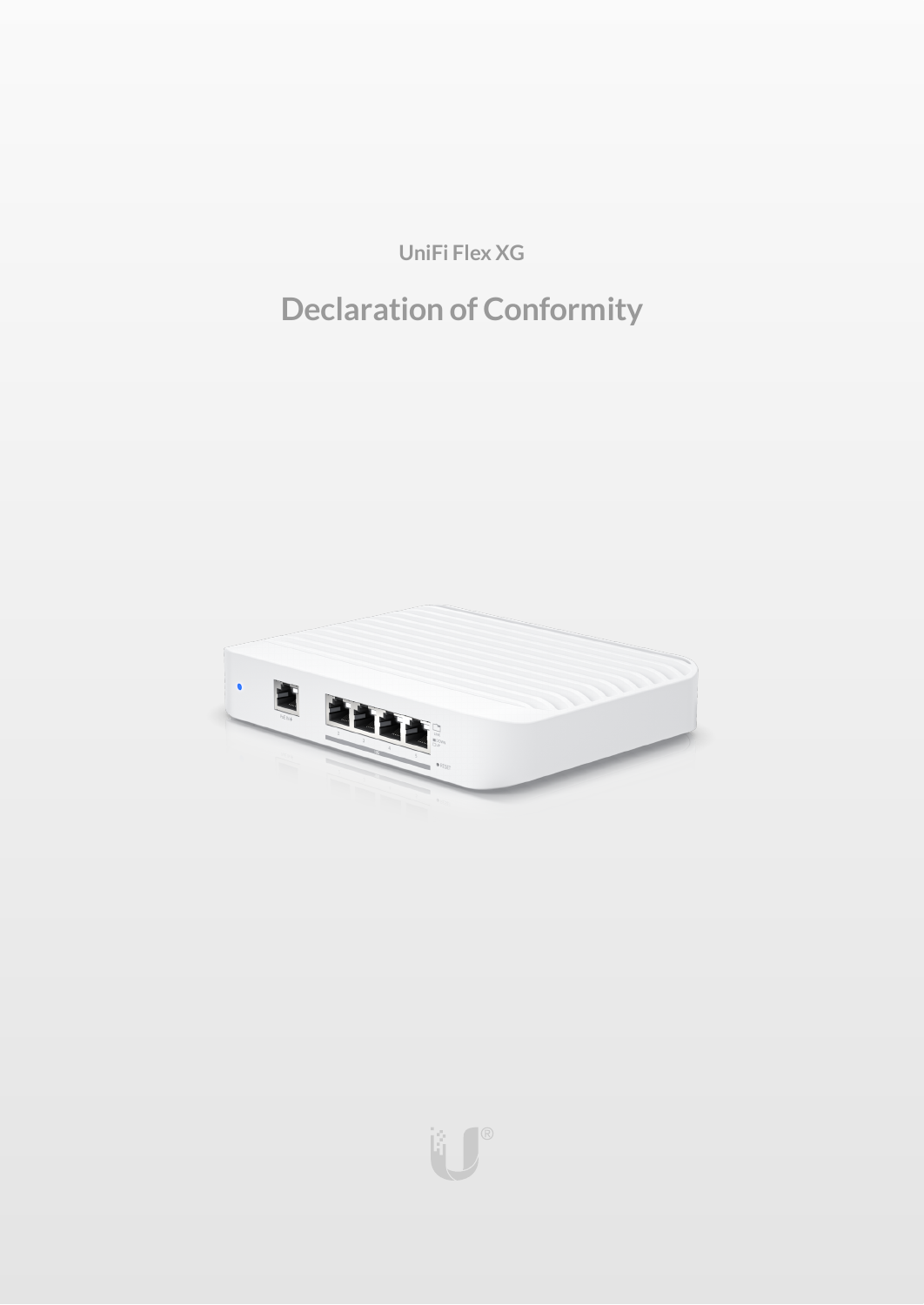**UniFi Flex XG**

# **Declaration of Conformity**



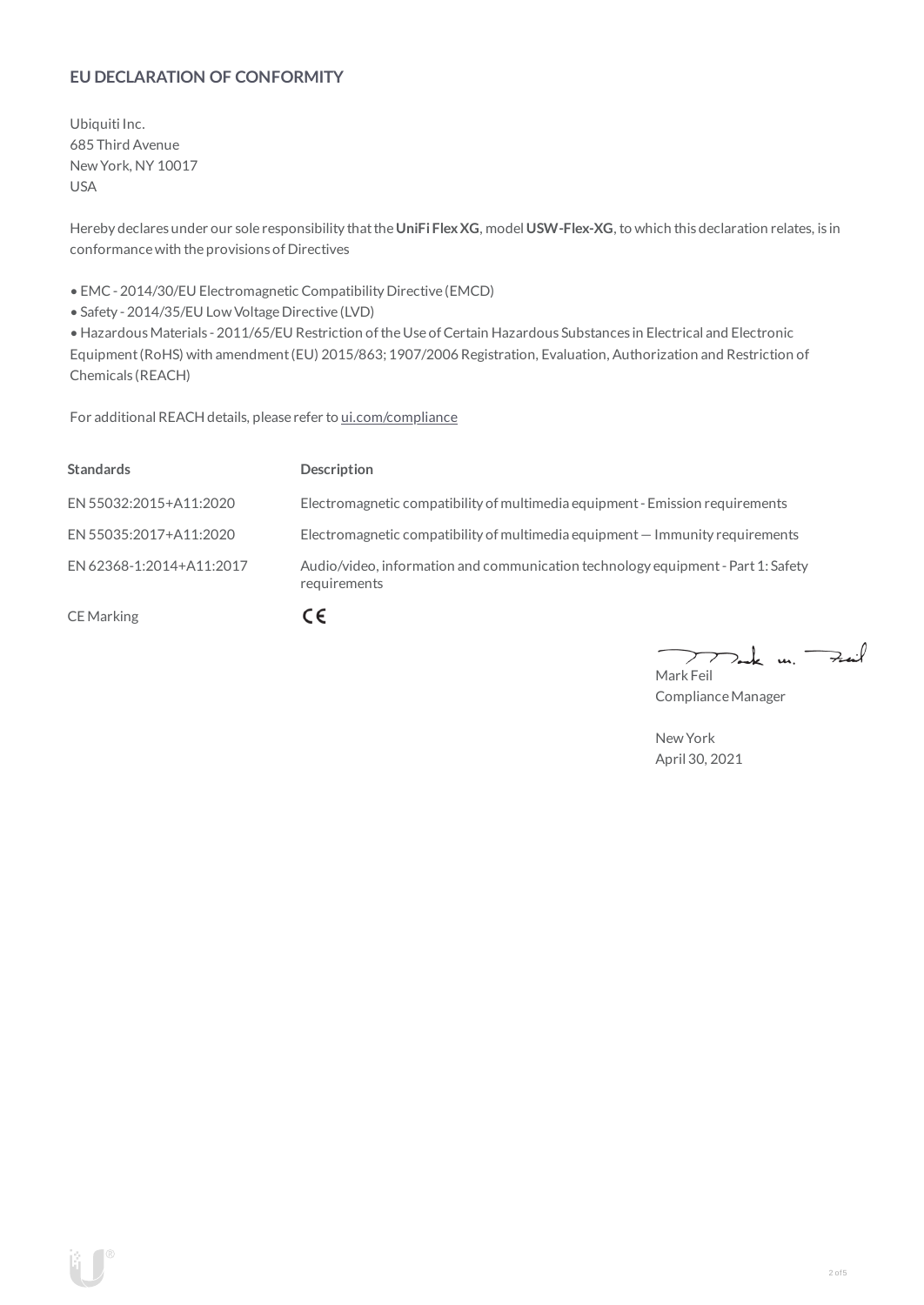# **EU DECLARATION OF CONFORMITY**

Ubiquiti Inc. 685 Third Avenue NewYork, NY 10017 USA

Hereby declares under our sole responsibility thatthe**UniFi FlexXG**, model **USW-Flex-XG**, to which this declaration relates, is in conformancewith the provisions of Directives

• EMC- 2014/30/EU Electromagnetic Compatibility Directive (EMCD)

• Safety - 2014/35/EU Low Voltage Directive (LVD)

• HazardousMaterials - 2011/65/EU Restriction oftheUse ofCertain Hazardous Substances in Electrical and Electronic Equipment(RoHS) with amendment(EU) 2015/863; 1907/2006 Registration, Evaluation, Authorization and Restriction of Chemicals (REACH)

For additional REACH details, please refer to [ui.com/compliance](https://www.ui.com/compliance/)

| <b>Standards</b>         | <b>Description</b>                                                                               |
|--------------------------|--------------------------------------------------------------------------------------------------|
| EN 55032:2015+A11:2020   | Electromagnetic compatibility of multimedia equipment - Emission requirements                    |
| EN 55035:2017+A11:2020   | Electromagnetic compatibility of multimedia equipment $-$ Immunity requirements                  |
| EN 62368-1:2014+A11:2017 | Audio/video, information and communication technology equipment - Part 1: Safety<br>requirements |
| <b>CE</b> Marking        | . E                                                                                              |

 $k$  un  $\rightarrow$ 7  $\mathcal{L}$ Mark Feil

Compliance Manager

NewYork April 30, 2021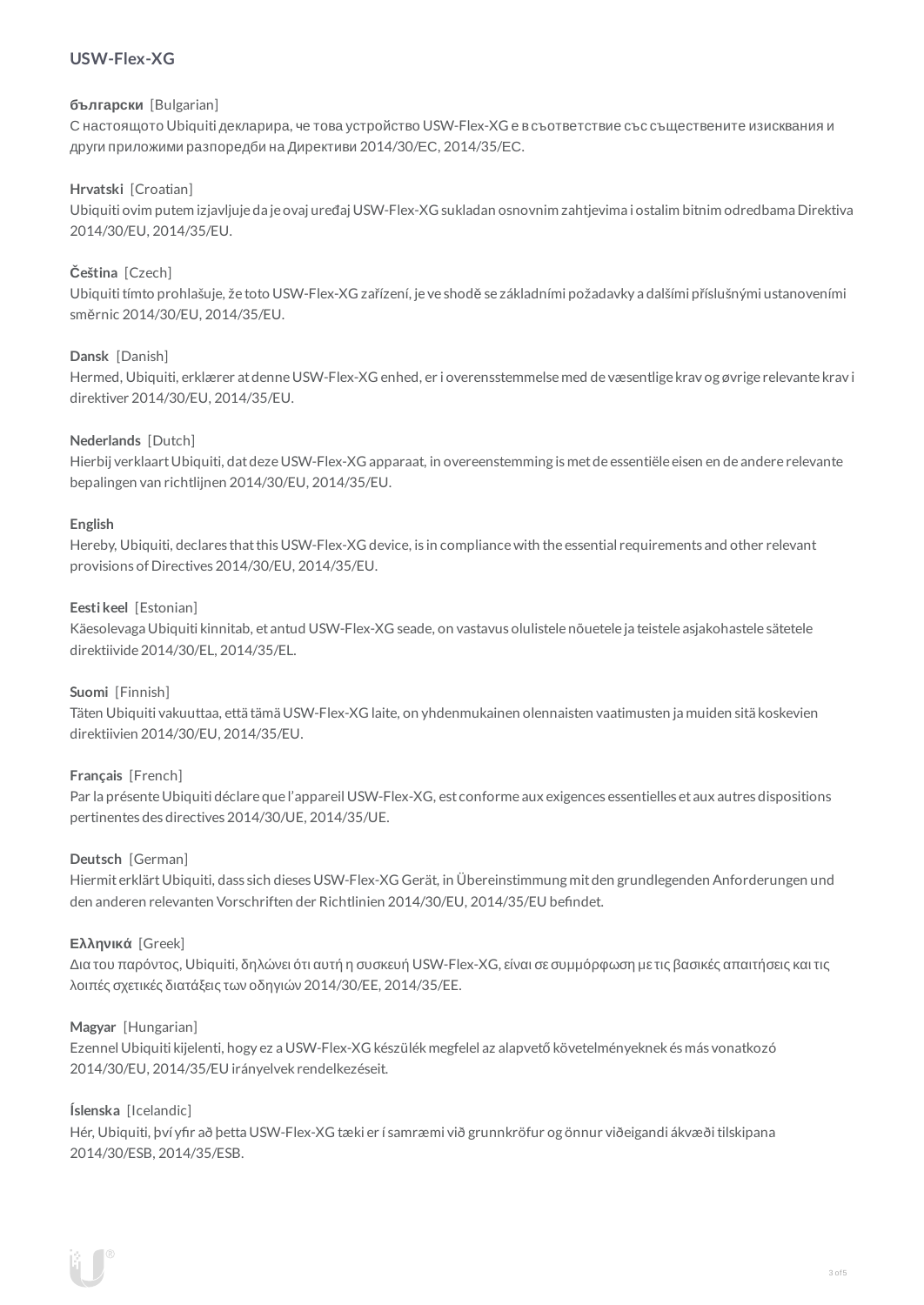# **USW-Flex-XG**

# **български** [Bulgarian]

С настоящото Ubiquiti декларира, че това устройство USW-Flex-XG е в съответствие със съществените изисквания и други приложими разпоредби на Директиви 2014/30/ЕС, 2014/35/ЕС.

# **Hrvatski** [Croatian]

Ubiquiti ovim putem izjavljuje da je ovaj uređaj USW-Flex-XG sukladan osnovnim zahtjevima i ostalim bitnim odredbama Direktiva 2014/30/EU, 2014/35/EU.

# **Čeština** [Czech]

Ubiquititímto prohlašuje, že toto USW-Flex-XG zařízení, je ve shodě se základními požadavky a dalšími příslušnými ustanoveními směrnic 2014/30/EU, 2014/35/EU.

# **Dansk** [Danish]

Hermed, Ubiquiti, erklærer atdenneUSW-Flex-XG enhed, er i overensstemmelse med de væsentlige krav og øvrige relevante krav i direktiver 2014/30/EU, 2014/35/EU.

#### **Nederlands** [Dutch]

Hierbij verklaartUbiquiti, datdezeUSW-Flex-XG apparaat, in overeenstemming is metde essentiële eisen en de andere relevante bepalingen van richtlijnen 2014/30/EU, 2014/35/EU.

#### **English**

Hereby, Ubiquiti, declares that this USW-Flex-XG device, is in compliance with the essential requirements and other relevant provisions of Directives 2014/30/EU, 2014/35/EU.

#### **Eesti keel** [Estonian]

Käesolevaga Ubiquiti kinnitab, et antud USW-Flex-XG seade, on vastavus olulistele nõuetele ja teistele asjakohastele sätetele direktiivide2014/30/EL, 2014/35/EL.

#### **Suomi** [Finnish]

Täten Ubiquiti vakuuttaa, että tämä USW-Flex-XG laite, on yhdenmukainen olennaisten vaatimusten ja muiden sitä koskevien direktiivien 2014/30/EU, 2014/35/EU.

#### **Français** [French]

Par la présente Ubiquiti déclare que l'appareil USW-Flex-XG, est conforme aux exigences essentielles et aux autres dispositions pertinentes des directives 2014/30/UE, 2014/35/UE.

#### **Deutsch** [German]

HiermiterklärtUbiquiti, dass sich dieses USW-Flex-XG Gerät, in Übereinstimmung mitden grundlegenden Anforderungen und den anderen relevanten Vorschriften der Richtlinien 2014/30/EU, 2014/35/EU befindet.

#### **Ελληνικά** [Greek]

Δια του παρόντος, Ubiquiti, δηλώνει ότι αυτή η συσκευή USW-Flex-XG, είναι σεσυµµόρφωση µε τις βασικές απαιτήσεις καιτις λοιπές σχετικές διατάξεις των οδηγιών 2014/30/EE, 2014/35/EE.

#### **Magyar** [Hungarian]

Ezennel Ubiquiti kijelenti, hogy ez a USW-Flex-XG készülék megfelel az alapvető követelményeknek és más vonatkozó 2014/30/EU, 2014/35/EU irányelvek rendelkezéseit.

#### **Íslenska** [Icelandic]

Hér, Ubiquiti, því yfir að þetta USW-Flex-XG tæki er í samræmi við grunnkröfur og önnur viðeigandi ákvæði tilskipana 2014/30/ESB, 2014/35/ESB.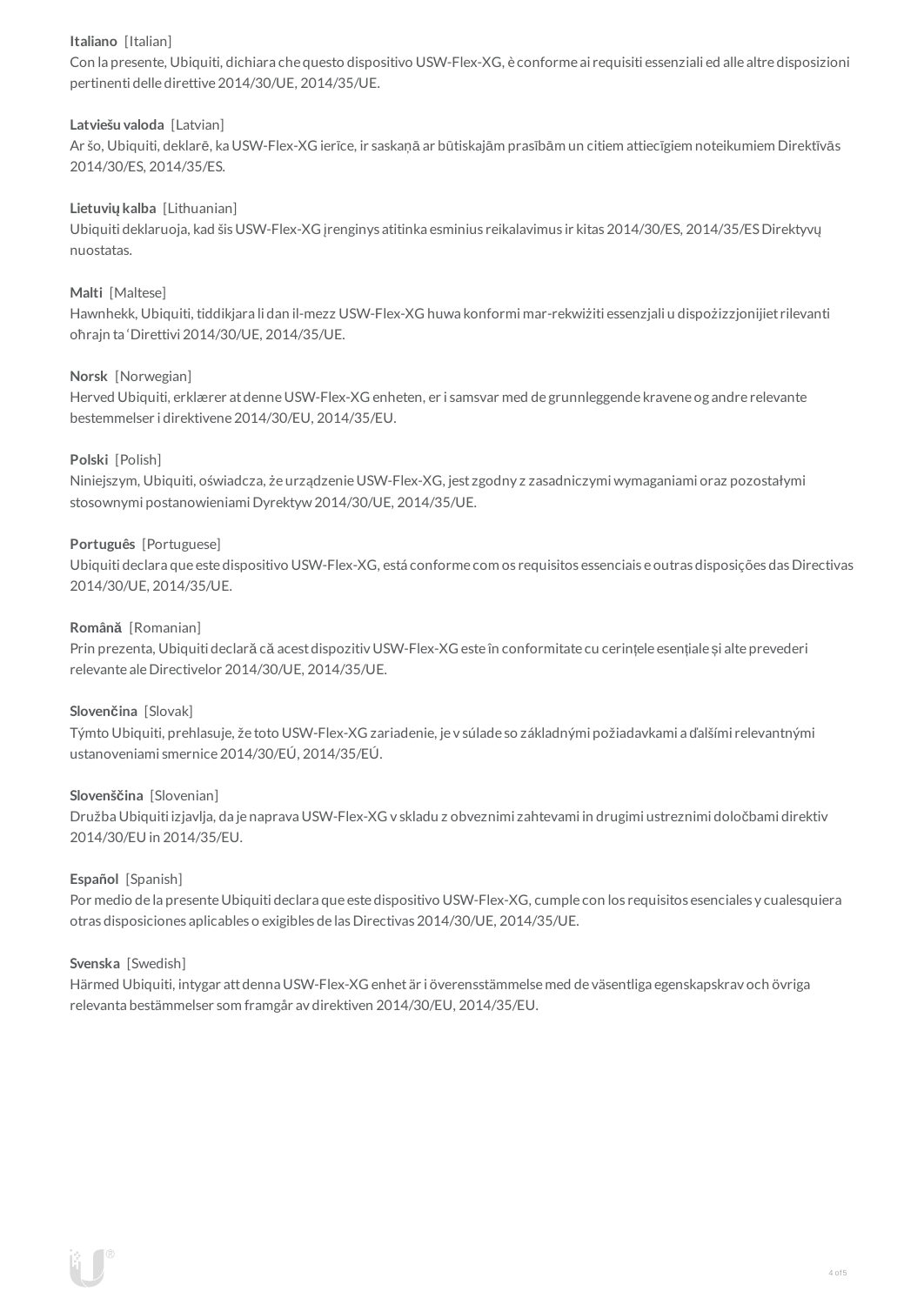# **Italiano** [Italian]

Con la presente, Ubiquiti, dichiara che questo dispositivo USW-Flex-XG, è conforme ai requisiti essenziali ed alle altre disposizioni pertinenti delle direttive2014/30/UE, 2014/35/UE.

# **Latviešu valoda** [Latvian]

Ar šo, Ubiquiti, deklarē, ka USW-Flex-XG ierīce, ir saskaņā ar būtiskajām prasībām un citiem attiecīgiem noteikumiem Direktīvās 2014/30/ES, 2014/35/ES.

# **Lietuviųkalba** [Lithuanian]

Ubiquiti deklaruoja, kad šis USW-Flex-XG įrenginys atitinka esminius reikalavimus ir kitas 2014/30/ES, 2014/35/ESDirektyvų nuostatas.

# **Malti** [Maltese]

Hawnhekk, Ubiquiti, tiddikjara li dan il-mezz USW-Flex-XG huwa konformi mar-rekwiżiti essenzjali u dispożizzjonijiet rilevanti oħrajn ta 'Direttivi 2014/30/UE, 2014/35/UE.

# **Norsk** [Norwegian]

Herved Ubiquiti, erklærer atdenneUSW-Flex-XG enheten, er i samsvar med de grunnleggende kravene og andre relevante bestemmelser i direktivene2014/30/EU, 2014/35/EU.

# **Polski** [Polish]

Niniejszym, Ubiquiti, oświadcza, że urządzenieUSW-Flex-XG, jest zgodny z zasadniczymi wymaganiami oraz pozostałymi stosownymi postanowieniami Dyrektyw2014/30/UE, 2014/35/UE.

# **Português** [Portuguese]

Ubiquiti declara que este dispositivo USW-Flex-XG, está conforme com os requisitos essenciais e outras disposições das Directivas 2014/30/UE, 2014/35/UE.

# **Română** [Romanian]

Prin prezenta, Ubiquiti declară că acestdispozitiv USW-Flex-XG este în conformitate cu cerințele esențiale și alte prevederi relevante aleDirectivelor 2014/30/UE, 2014/35/UE.

#### **Slovenčina** [Slovak]

Týmto Ubiquiti, prehlasuje, že toto USW-Flex-XG zariadenie, je v súlade so základnými požiadavkami a ďalšími relevantnými ustanoveniami smernice2014/30/EÚ, 2014/35/EÚ.

#### **Slovenščina** [Slovenian]

Družba Ubiquiti izjavlja, da je naprava USW-Flex-XG v skladu z obveznimi zahtevami in drugimi ustreznimi določbami direktiv 2014/30/EU in 2014/35/EU.

#### **Español** [Spanish]

Por medio de la presente Ubiquiti declara que este dispositivo USW-Flex-XG, cumple con los requisitos esenciales y cualesquiera otras disposiciones aplicables o exigibles de lasDirectivas 2014/30/UE, 2014/35/UE.

#### **Svenska** [Swedish]

Härmed Ubiquiti, intygar attdenna USW-Flex-XG enhet är i överensstämmelse med de väsentliga egenskapskrav och övriga relevanta bestämmelser som framgår av direktiven 2014/30/EU, 2014/35/EU.